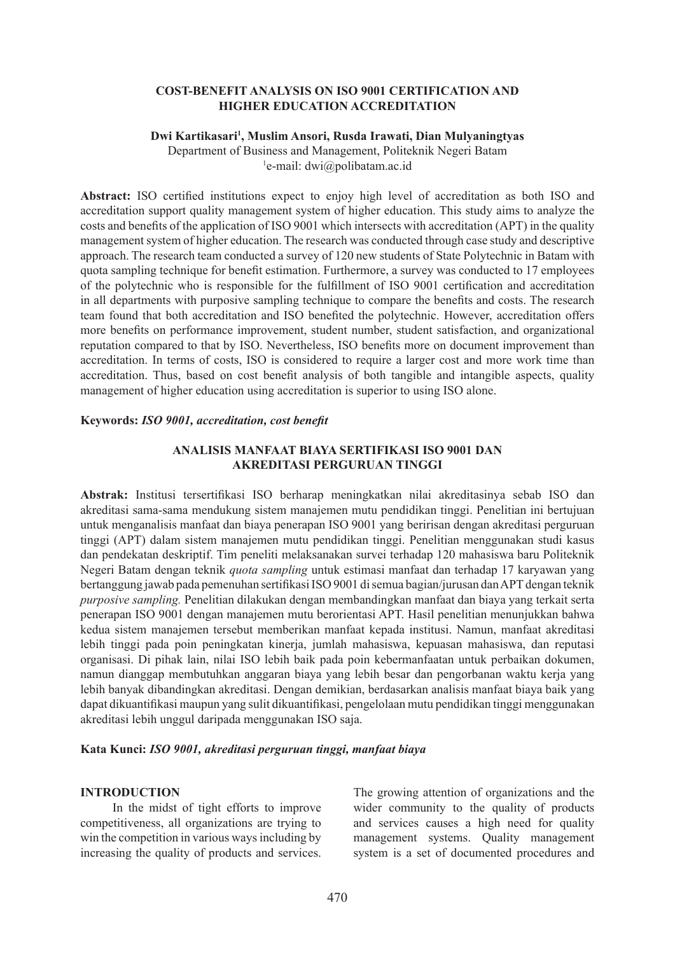## **COST-BENEFIT ANALYSIS ON ISO 9001 CERTIFICATION AND HIGHER EDUCATION ACCREDITATION**

#### **Dwi Kartikasari1 , Muslim Ansori, Rusda Irawati, Dian Mulyaningtyas**

Department of Business and Management, Politeknik Negeri Batam 1 e-mail: dwi@polibatam.ac.id

**Abstract:** ISO certified institutions expect to enjoy high level of accreditation as both ISO and accreditation support quality management system of higher education. This study aims to analyze the costs and benefits of the application of ISO 9001 which intersects with accreditation (APT) in the quality management system of higher education. The research was conducted through case study and descriptive approach. The research team conducted a survey of 120 new students of State Polytechnic in Batam with quota sampling technique for benefit estimation. Furthermore, a survey was conducted to 17 employees of the polytechnic who is responsible for the fulfillment of ISO 9001 certification and accreditation in all departments with purposive sampling technique to compare the benefits and costs. The research team found that both accreditation and ISO benefited the polytechnic. However, accreditation offers more benefits on performance improvement, student number, student satisfaction, and organizational reputation compared to that by ISO. Nevertheless, ISO benefits more on document improvement than accreditation. In terms of costs, ISO is considered to require a larger cost and more work time than accreditation. Thus, based on cost benefit analysis of both tangible and intangible aspects, quality management of higher education using accreditation is superior to using ISO alone.

#### **Keywords:** *ISO 9001, accreditation, cost benefit*

## **ANALISIS MANFAAT BIAYA SERTIFIKASI ISO 9001 DAN AKREDITASI PERGURUAN TINGGI**

**Abstrak:** Institusi tersertifikasi ISO berharap meningkatkan nilai akreditasinya sebab ISO dan akreditasi sama-sama mendukung sistem manajemen mutu pendidikan tinggi. Penelitian ini bertujuan untuk menganalisis manfaat dan biaya penerapan ISO 9001 yang beririsan dengan akreditasi perguruan tinggi (APT) dalam sistem manajemen mutu pendidikan tinggi. Penelitian menggunakan studi kasus dan pendekatan deskriptif. Tim peneliti melaksanakan survei terhadap 120 mahasiswa baru Politeknik Negeri Batam dengan teknik *quota sampling* untuk estimasi manfaat dan terhadap 17 karyawan yang bertanggung jawab pada pemenuhan sertifikasi ISO 9001 di semua bagian/jurusan dan APT dengan teknik *purposive sampling.* Penelitian dilakukan dengan membandingkan manfaat dan biaya yang terkait serta penerapan ISO 9001 dengan manajemen mutu berorientasi APT. Hasil penelitian menunjukkan bahwa kedua sistem manajemen tersebut memberikan manfaat kepada institusi. Namun, manfaat akreditasi lebih tinggi pada poin peningkatan kinerja, jumlah mahasiswa, kepuasan mahasiswa, dan reputasi organisasi. Di pihak lain, nilai ISO lebih baik pada poin kebermanfaatan untuk perbaikan dokumen, namun dianggap membutuhkan anggaran biaya yang lebih besar dan pengorbanan waktu kerja yang lebih banyak dibandingkan akreditasi. Dengan demikian, berdasarkan analisis manfaat biaya baik yang dapat dikuantifikasi maupun yang sulit dikuantifikasi, pengelolaan mutu pendidikan tinggi menggunakan akreditasi lebih unggul daripada menggunakan ISO saja.

## **Kata Kunci:** *ISO 9001, akreditasi perguruan tinggi, manfaat biaya*

#### **INTRODUCTION**

In the midst of tight efforts to improve competitiveness, all organizations are trying to win the competition in various ways including by increasing the quality of products and services. The growing attention of organizations and the wider community to the quality of products and services causes a high need for quality management systems. Quality management system is a set of documented procedures and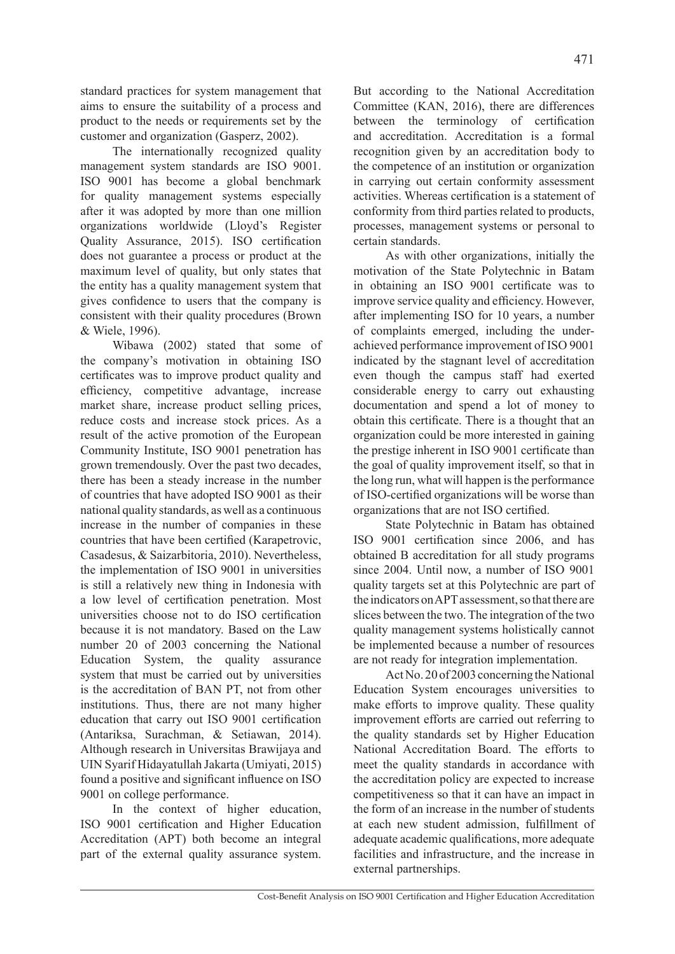standard practices for system management that aims to ensure the suitability of a process and product to the needs or requirements set by the customer and organization (Gasperz, 2002).

The internationally recognized quality management system standards are ISO 9001. ISO 9001 has become a global benchmark for quality management systems especially after it was adopted by more than one million organizations worldwide (Lloyd's Register Quality Assurance, 2015). ISO certification does not guarantee a process or product at the maximum level of quality, but only states that the entity has a quality management system that gives confidence to users that the company is consistent with their quality procedures (Brown & Wiele, 1996).

Wibawa (2002) stated that some of the company's motivation in obtaining ISO certificates was to improve product quality and efficiency, competitive advantage, increase market share, increase product selling prices, reduce costs and increase stock prices. As a result of the active promotion of the European Community Institute, ISO 9001 penetration has grown tremendously. Over the past two decades, there has been a steady increase in the number of countries that have adopted ISO 9001 as their national quality standards, as well as a continuous increase in the number of companies in these countries that have been certified (Karapetrovic, Casadesus, & Saizarbitoria, 2010). Nevertheless, the implementation of ISO 9001 in universities is still a relatively new thing in Indonesia with a low level of certification penetration. Most universities choose not to do ISO certification because it is not mandatory. Based on the Law number 20 of 2003 concerning the National Education System, the quality assurance system that must be carried out by universities is the accreditation of BAN PT, not from other institutions. Thus, there are not many higher education that carry out ISO 9001 certification (Antariksa, Surachman, & Setiawan, 2014). Although research in Universitas Brawijaya and UIN Syarif Hidayatullah Jakarta (Umiyati, 2015) found a positive and significant influence on ISO 9001 on college performance.

In the context of higher education, ISO 9001 certification and Higher Education Accreditation (APT) both become an integral part of the external quality assurance system. But according to the National Accreditation Committee (KAN, 2016), there are differences between the terminology of certification and accreditation. Accreditation is a formal recognition given by an accreditation body to the competence of an institution or organization in carrying out certain conformity assessment activities. Whereas certification is a statement of conformity from third parties related to products, processes, management systems or personal to certain standards.

As with other organizations, initially the motivation of the State Polytechnic in Batam in obtaining an ISO 9001 certificate was to improve service quality and efficiency. However, after implementing ISO for 10 years, a number of complaints emerged, including the underachieved performance improvement of ISO 9001 indicated by the stagnant level of accreditation even though the campus staff had exerted considerable energy to carry out exhausting documentation and spend a lot of money to obtain this certificate. There is a thought that an organization could be more interested in gaining the prestige inherent in ISO 9001 certificate than the goal of quality improvement itself, so that in the long run, what will happen is the performance of ISO-certified organizations will be worse than organizations that are not ISO certified.

State Polytechnic in Batam has obtained ISO 9001 certification since 2006, and has obtained B accreditation for all study programs since 2004. Until now, a number of ISO 9001 quality targets set at this Polytechnic are part of the indicators on APT assessment, so that there are slices between the two. The integration of the two quality management systems holistically cannot be implemented because a number of resources are not ready for integration implementation.

Act No. 20 of 2003 concerning the National Education System encourages universities to make efforts to improve quality. These quality improvement efforts are carried out referring to the quality standards set by Higher Education National Accreditation Board. The efforts to meet the quality standards in accordance with the accreditation policy are expected to increase competitiveness so that it can have an impact in the form of an increase in the number of students at each new student admission, fulfillment of adequate academic qualifications, more adequate facilities and infrastructure, and the increase in external partnerships.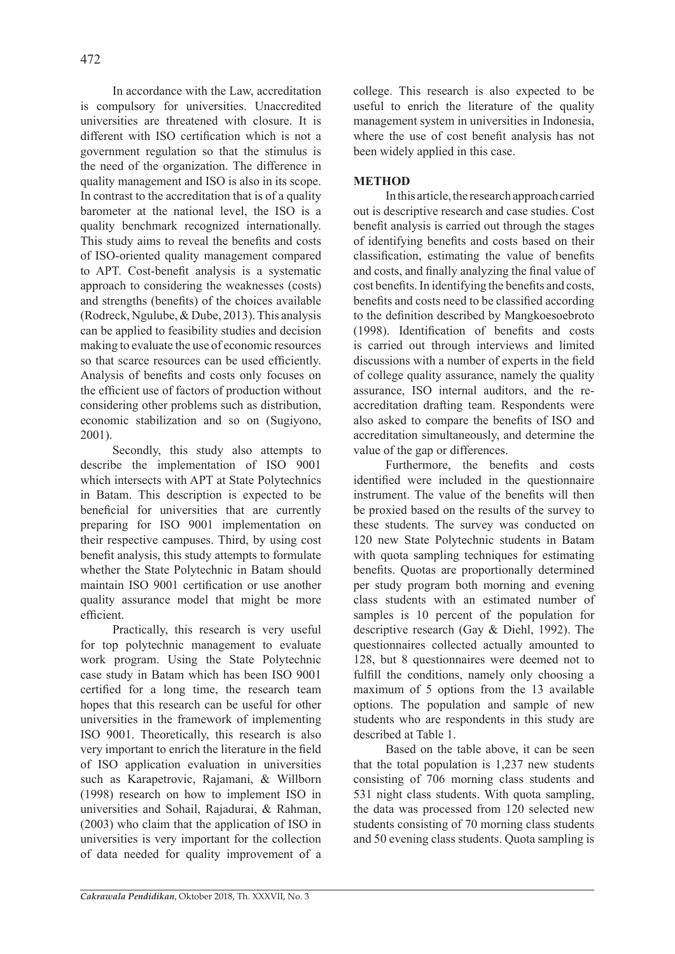In accordance with the Law, accreditation is compulsory for universities. Unaccredited universities are threatened with closure. It is different with ISO certification which is not a government regulation so that the stimulus is the need of the organization. The difference in quality management and ISO is also in its scope. In contrast to the accreditation that is of a quality barometer at the national level, the ISO is a quality benchmark recognized internationally. This study aims to reveal the benefits and costs of ISO-oriented quality management compared to APT. Cost-benefit analysis is a systematic approach to considering the weaknesses (costs) and strengths (benefits) of the choices available (Rodreck, Ngulube, & Dube, 2013). This analysis can be applied to feasibility studies and decision making to evaluate the use of economic resources so that scarce resources can be used efficiently. Analysis of benefits and costs only focuses on the efficient use of factors of production without considering other problems such as distribution, economic stabilization and so on (Sugiyono, 2001).

Secondly, this study also attempts to describe the implementation of ISO 9001 which intersects with APT at State Polytechnics in Batam. This description is expected to be beneficial for universities that are currently preparing for ISO 9001 implementation on their respective campuses. Third, by using cost benefit analysis, this study attempts to formulate whether the State Polytechnic in Batam should maintain ISO 9001 certification or use another quality assurance model that might be more efficient.

Practically, this research is very useful for top polytechnic management to evaluate work program. Using the State Polytechnic case study in Batam which has been ISO 9001 certified for a long time, the research team hopes that this research can be useful for other universities in the framework of implementing ISO 9001. Theoretically, this research is also very important to enrich the literature in the field of ISO application evaluation in universities such as Karapetrovic, Rajamani, & Willborn (1998) research on how to implement ISO in universities and Sohail, Rajadurai, & Rahman, (2003) who claim that the application of ISO in universities is very important for the collection of data needed for quality improvement of a college. This research is also expected to be useful to enrich the literature of the quality management system in universities in Indonesia, where the use of cost benefit analysis has not been widely applied in this case.

## **METHOD**

In this article, the research approach carried out is descriptive research and case studies. Cost benefit analysis is carried out through the stages of identifying benefits and costs based on their classification, estimating the value of benefits and costs, and finally analyzing the final value of cost benefits. In identifying the benefits and costs, benefits and costs need to be classified according to the definition described by Mangkoesoebroto (1998). Identification of benefits and costs is carried out through interviews and limited discussions with a number of experts in the field of college quality assurance, namely the quality assurance, ISO internal auditors, and the reaccreditation drafting team. Respondents were also asked to compare the benefits of ISO and accreditation simultaneously, and determine the value of the gap or differences.

Furthermore, the benefits and costs identified were included in the questionnaire instrument. The value of the benefits will then be proxied based on the results of the survey to these students. The survey was conducted on 120 new State Polytechnic students in Batam with quota sampling techniques for estimating benefits. Quotas are proportionally determined per study program both morning and evening class students with an estimated number of samples is 10 percent of the population for descriptive research (Gay & Diehl, 1992). The questionnaires collected actually amounted to 128, but 8 questionnaires were deemed not to fulfill the conditions, namely only choosing a maximum of 5 options from the 13 available options. The population and sample of new students who are respondents in this study are described at Table 1.

Based on the table above, it can be seen that the total population is 1,237 new students consisting of 706 morning class students and 531 night class students. With quota sampling, the data was processed from 120 selected new students consisting of 70 morning class students and 50 evening class students. Quota sampling is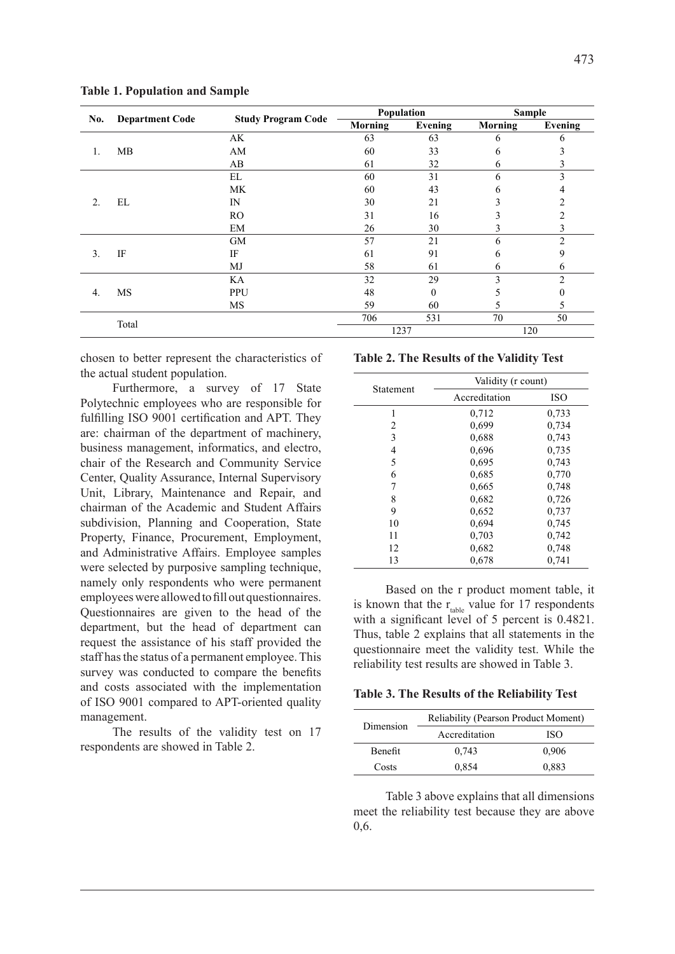|                  | <b>Department Code</b> |                | Population<br><b>Study Program Code</b> |          |                | <b>Sample</b>  |
|------------------|------------------------|----------------|-----------------------------------------|----------|----------------|----------------|
| No.              |                        |                | <b>Morning</b>                          | Evening  | <b>Morning</b> | Evening        |
|                  |                        | AK             | 63                                      | 63       | 6              | 6              |
| 1.               | MB                     | AM             | 60                                      | 33       | 6              |                |
|                  |                        | AB             | 61                                      | 32       | 6              | Ć              |
|                  |                        | EL             | 60                                      | 31       | 6              | 3              |
|                  |                        | MK             | 60                                      | 43       | <sub>b</sub>   |                |
| 2.               | EL                     | IN             | 30                                      | 21       | ↑<br>∍         | $\overline{c}$ |
|                  |                        | R <sub>O</sub> | 31                                      | 16       | 3              | 2              |
|                  |                        | EM             | 26                                      | 30       |                | 3              |
|                  |                        | <b>GM</b>      | 57                                      | 21       | 6              | $\mathcal{L}$  |
| 3.               | IF                     | IF             | 61                                      | 91       | 6              | 9              |
|                  |                        | MJ             | 58                                      | 61       | 6              | 6              |
|                  |                        | KA             | 32                                      | 29       | 3              | $\overline{2}$ |
| $\overline{4}$ . | <b>MS</b>              | PPU            | 48                                      | $\theta$ | C.             | 0              |
|                  |                        | <b>MS</b>      | 59                                      | 60       | C.             | 5              |
|                  | Total                  |                | 706                                     | 531      | 70             | 50             |
|                  |                        |                |                                         | 1237     |                | 120            |

**Table 1. Population and Sample**

chosen to better represent the characteristics of the actual student population.

Furthermore, a survey of 17 State Polytechnic employees who are responsible for fulfilling ISO 9001 certification and APT. They are: chairman of the department of machinery, business management, informatics, and electro, chair of the Research and Community Service Center, Quality Assurance, Internal Supervisory Unit, Library, Maintenance and Repair, and chairman of the Academic and Student Affairs subdivision, Planning and Cooperation, State Property, Finance, Procurement, Employment, and Administrative Affairs. Employee samples were selected by purposive sampling technique, namely only respondents who were permanent employees were allowed to fill out questionnaires. Questionnaires are given to the head of the department, but the head of department can request the assistance of his staff provided the staff has the status of a permanent employee. This survey was conducted to compare the benefits and costs associated with the implementation of ISO 9001 compared to APT-oriented quality management.

The results of the validity test on 17 respondents are showed in Table 2.

#### **Table 2. The Results of the Validity Test**

|           | Validity (r count) |            |
|-----------|--------------------|------------|
| Statement | Accreditation      | <b>ISO</b> |
| 1         | 0.712              | 0,733      |
| 2         | 0,699              | 0.734      |
| 3         | 0.688              | 0.743      |
| 4         | 0,696              | 0.735      |
| 5         | 0.695              | 0.743      |
| 6         | 0.685              | 0,770      |
| 7         | 0,665              | 0,748      |
| 8         | 0.682              | 0,726      |
| 9         | 0,652              | 0,737      |
| 10        | 0.694              | 0,745      |
| 11        | 0.703              | 0,742      |
| 12        | 0.682              | 0.748      |
| 13        | 0.678              | 0.741      |

Based on the r product moment table, it is known that the  $r_{table}$  value for 17 respondents with a significant level of 5 percent is  $0.4821$ . Thus, table 2 explains that all statements in the questionnaire meet the validity test. While the reliability test results are showed in Table 3.

#### **Table 3. The Results of the Reliability Test**

| Dimension      | Reliability (Pearson Product Moment) |       |  |
|----------------|--------------------------------------|-------|--|
|                | Accreditation                        | ISO   |  |
| <b>Benefit</b> | 0.743                                | 0.906 |  |
| Costs          | 0.854                                | 0,883 |  |

Table 3 above explains that all dimensions meet the reliability test because they are above 0,6.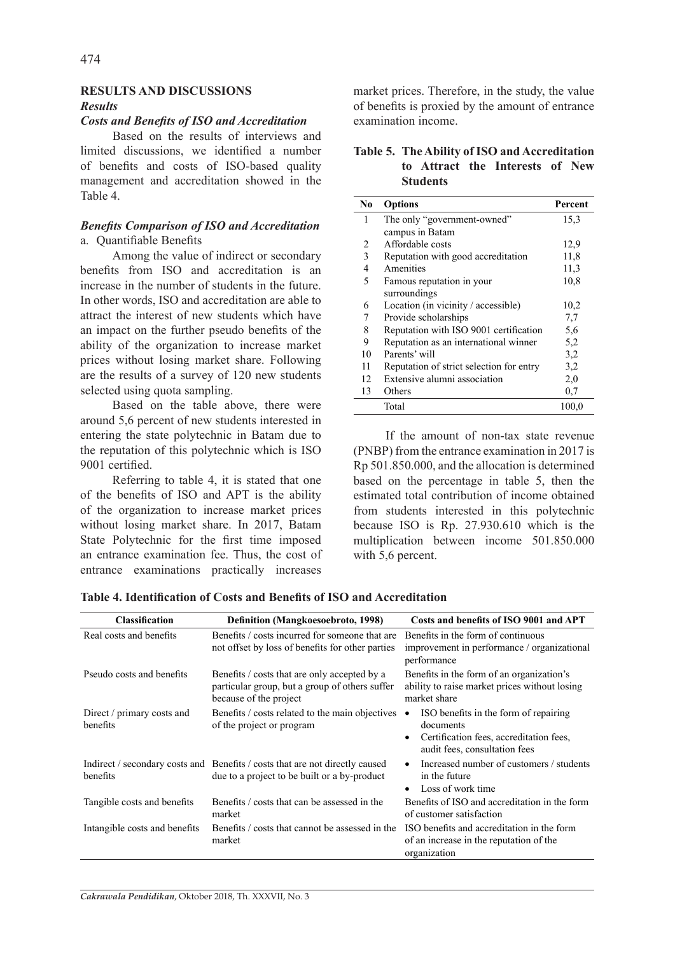## **RESULTS AND DISCUSSIONS** *Results*

## *Costs and Benefits of ISO and Accreditation*

Based on the results of interviews and limited discussions, we identified a number of benefits and costs of ISO-based quality management and accreditation showed in the Table 4.

## *Benefits Comparison of ISO and Accreditation* a. Quantifiable Benefits

Among the value of indirect or secondary benefits from ISO and accreditation is an increase in the number of students in the future. In other words, ISO and accreditation are able to attract the interest of new students which have an impact on the further pseudo benefits of the ability of the organization to increase market prices without losing market share. Following are the results of a survey of 120 new students selected using quota sampling.

Based on the table above, there were around 5,6 percent of new students interested in entering the state polytechnic in Batam due to the reputation of this polytechnic which is ISO 9001 certified.

Referring to table 4, it is stated that one of the benefits of ISO and APT is the ability of the organization to increase market prices without losing market share. In 2017, Batam State Polytechnic for the first time imposed an entrance examination fee. Thus, the cost of entrance examinations practically increases

market prices. Therefore, in the study, the value of benefits is proxied by the amount of entrance examination income.

**Table 5. The Ability of ISO and Accreditation to Attract the Interests of New Students**

| No | <b>Options</b>                           | Percent |
|----|------------------------------------------|---------|
| 1  | The only "government-owned"              | 15,3    |
|    | campus in Batam                          |         |
| 2  | Affordable costs                         | 12,9    |
| 3  | Reputation with good accreditation       | 11,8    |
| 4  | Amenities                                | 11,3    |
| 5  | Famous reputation in your                | 10,8    |
|    | surroundings                             |         |
| 6  | Location (in vicinity / accessible)      | 10,2    |
| 7  | Provide scholarships                     | 7,7     |
| 8  | Reputation with ISO 9001 certification   | 5,6     |
| 9  | Reputation as an international winner    | 5,2     |
| 10 | Parents' will                            | 3.2     |
| 11 | Reputation of strict selection for entry | 3,2     |
| 12 | Extensive alumni association             | 2,0     |
| 13 | Others                                   | 0.7     |
|    | Total                                    | 100,0   |

If the amount of non-tax state revenue (PNBP) from the entrance examination in 2017 is Rp 501.850.000, and the allocation is determined based on the percentage in table 5, then the estimated total contribution of income obtained from students interested in this polytechnic because ISO is Rp. 27.930.610 which is the multiplication between income 501.850.000 with 5,6 percent.

| <b>Classification</b>                  | <b>Definition (Mangkoesoebroto, 1998)</b>                                                                                    | Costs and benefits of ISO 9001 and APT                                                                                                                   |
|----------------------------------------|------------------------------------------------------------------------------------------------------------------------------|----------------------------------------------------------------------------------------------------------------------------------------------------------|
| Real costs and benefits                | Benefits / costs incurred for someone that are<br>not offset by loss of benefits for other parties                           | Benefits in the form of continuous<br>improvement in performance / organizational<br>performance                                                         |
| Pseudo costs and benefits              | Benefits / costs that are only accepted by a<br>particular group, but a group of others suffer<br>because of the project     | Benefits in the form of an organization's<br>ability to raise market prices without losing<br>market share                                               |
| Direct / primary costs and<br>benefits | Benefits / costs related to the main objectives<br>of the project or program                                                 | ISO benefits in the form of repairing<br>$\bullet$<br>documents<br>Certification fees, accreditation fees,<br>$\bullet$<br>audit fees, consultation fees |
| benefits                               | Indirect / secondary costs and Benefits / costs that are not directly caused<br>due to a project to be built or a by-product | Increased number of customers / students<br>$\bullet$<br>in the future<br>Loss of work time<br>$\bullet$                                                 |
| Tangible costs and benefits            | Benefits / costs that can be assessed in the<br>market                                                                       | Benefits of ISO and accreditation in the form<br>of customer satisfaction                                                                                |
| Intangible costs and benefits          | Benefits / costs that cannot be assessed in the<br>market                                                                    | ISO benefits and accreditation in the form<br>of an increase in the reputation of the<br>organization                                                    |

**Table 4. Identification of Costs and Benefits of ISO and Accreditation**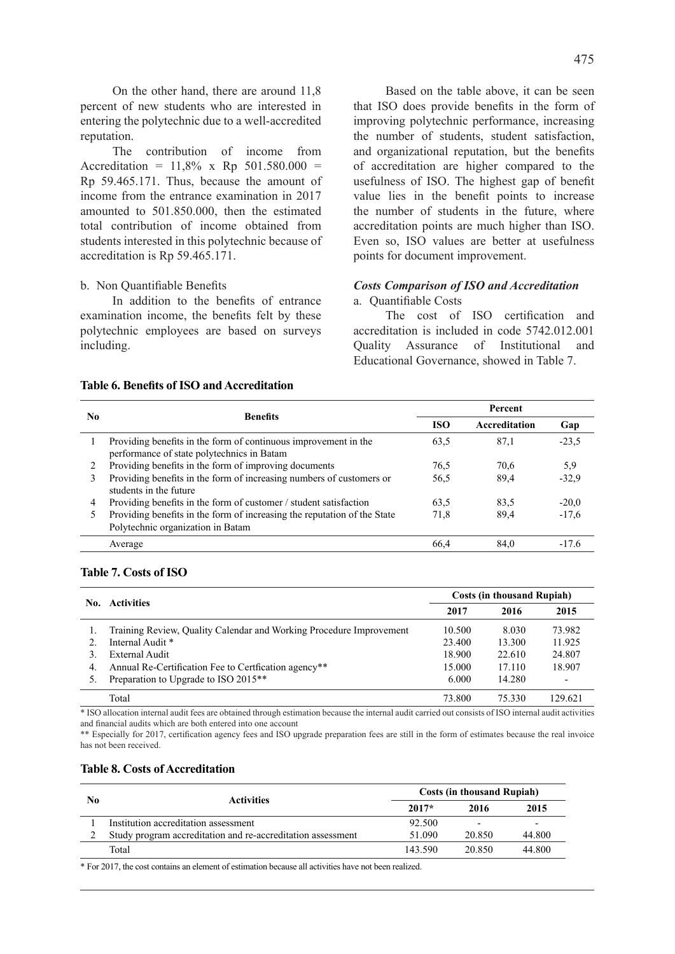On the other hand, there are around 11,8 percent of new students who are interested in entering the polytechnic due to a well-accredited reputation.

The contribution of income from Accreditation =  $11,8\%$  x Rp  $501.580.000$  = Rp 59.465.171. Thus, because the amount of income from the entrance examination in 2017 amounted to 501.850.000, then the estimated total contribution of income obtained from students interested in this polytechnic because of accreditation is Rp 59.465.171.

#### b. Non Quantifiable Benefits

In addition to the benefits of entrance examination income, the benefits felt by these polytechnic employees are based on surveys including.

Based on the table above, it can be seen that ISO does provide benefits in the form of improving polytechnic performance, increasing the number of students, student satisfaction, and organizational reputation, but the benefits of accreditation are higher compared to the usefulness of ISO. The highest gap of benefit value lies in the benefit points to increase the number of students in the future, where accreditation points are much higher than ISO. Even so, ISO values are better at usefulness points for document improvement.

## *Costs Comparison of ISO and Accreditation*

a. Quantifiable Costs

The cost of ISO certification and accreditation is included in code 5742.012.001 Quality Assurance of Institutional and Educational Governance, showed in Table 7.

#### **Table 6. Benefits of ISO and Accreditation**

|         | <b>Benefits</b>                                                                                               | Percent    |               |         |
|---------|---------------------------------------------------------------------------------------------------------------|------------|---------------|---------|
| No.     |                                                                                                               | <b>ISO</b> | Accreditation | Gap     |
|         | Providing benefits in the form of continuous improvement in the<br>performance of state polytechnics in Batam | 63.5       | 87,1          | $-23.5$ |
| $2^{1}$ | Providing benefits in the form of improving documents                                                         | 76.5       | 70,6          | 5.9     |
| 3       | Providing benefits in the form of increasing numbers of customers or<br>students in the future                | 56.5       | 89.4          | $-32.9$ |
| 4       | Providing benefits in the form of customer / student satisfaction                                             | 63.5       | 83.5          | $-20.0$ |
|         | Providing benefits in the form of increasing the reputation of the State<br>Polytechnic organization in Batam | 71.8       | 89.4          | $-17,6$ |
|         | Average                                                                                                       | 66.4       | 84.0          | $-17.6$ |

## **Table 7. Costs of ISO**

| No. | <b>Activities</b>                                                   | <b>Costs (in thousand Rupiah)</b> |        |                          |  |
|-----|---------------------------------------------------------------------|-----------------------------------|--------|--------------------------|--|
|     |                                                                     |                                   | 2016   | 2015                     |  |
|     | Training Review, Quality Calendar and Working Procedure Improvement | 10.500                            | 8.030  | 73.982                   |  |
|     | Internal Audit *                                                    | 23.400                            | 13.300 | 11.925                   |  |
|     | External Audit                                                      | 18.900                            | 22.610 | 24.807                   |  |
| 4.  | Annual Re-Certification Fee to Certifcation agency**                | 15.000                            | 17.110 | 18.907                   |  |
|     | Preparation to Upgrade to ISO 2015**                                | 6.000                             | 14.280 | $\overline{\phantom{0}}$ |  |
|     | Total                                                               | 73.800                            | 75.330 | 129.621                  |  |

\* ISO allocation internal audit fees are obtained through estimation because the internal audit carried out consists of ISO internal audit activities and financial audits which are both entered into one account

\*\* Especially for 2017, certification agency fees and ISO upgrade preparation fees are still in the form of estimates because the real invoice has not been received.

#### **Table 8. Costs of Accreditation**

| No | <b>Activities</b>                                           |         | <b>Costs (in thousand Rupiah)</b><br>2015<br>2016 |                          |
|----|-------------------------------------------------------------|---------|---------------------------------------------------|--------------------------|
|    |                                                             | $2017*$ |                                                   |                          |
|    | Institution accreditation assessment                        | 92.500  |                                                   | $\overline{\phantom{0}}$ |
|    | Study program accreditation and re-accreditation assessment | 51.090  | 20.850                                            | 44.800                   |
|    | Total                                                       | 143.590 | 20.850                                            | 44.800                   |

\* For 2017, the cost contains an element of estimation because all activities have not been realized.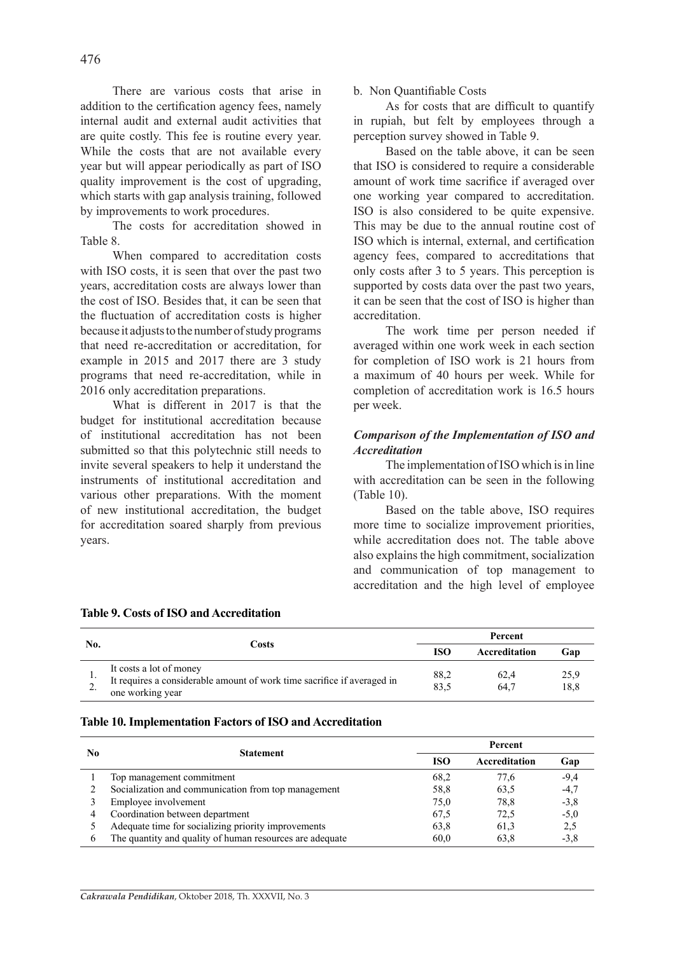There are various costs that arise in addition to the certification agency fees, namely internal audit and external audit activities that are quite costly. This fee is routine every year. While the costs that are not available every year but will appear periodically as part of ISO quality improvement is the cost of upgrading, which starts with gap analysis training, followed by improvements to work procedures.

The costs for accreditation showed in Table 8.

When compared to accreditation costs with ISO costs, it is seen that over the past two years, accreditation costs are always lower than the cost of ISO. Besides that, it can be seen that the fluctuation of accreditation costs is higher because it adjusts to the number of study programs that need re-accreditation or accreditation, for example in 2015 and 2017 there are 3 study programs that need re-accreditation, while in 2016 only accreditation preparations.

What is different in 2017 is that the budget for institutional accreditation because of institutional accreditation has not been submitted so that this polytechnic still needs to invite several speakers to help it understand the instruments of institutional accreditation and various other preparations. With the moment of new institutional accreditation, the budget for accreditation soared sharply from previous years.

## b. Non Quantifiable Costs

As for costs that are difficult to quantify in rupiah, but felt by employees through a perception survey showed in Table 9.

Based on the table above, it can be seen that ISO is considered to require a considerable amount of work time sacrifice if averaged over one working year compared to accreditation. ISO is also considered to be quite expensive. This may be due to the annual routine cost of ISO which is internal, external, and certification agency fees, compared to accreditations that only costs after 3 to 5 years. This perception is supported by costs data over the past two years, it can be seen that the cost of ISO is higher than accreditation.

The work time per person needed if averaged within one work week in each section for completion of ISO work is 21 hours from a maximum of 40 hours per week. While for completion of accreditation work is 16.5 hours per week.

## *Comparison of the Implementation of ISO and Accreditation*

The implementation of ISO which is in line with accreditation can be seen in the following (Table 10).

Based on the table above, ISO requires more time to socialize improvement priorities, while accreditation does not. The table above also explains the high commitment, socialization and communication of top management to accreditation and the high level of employee

| No. | Costs                                                                                                                  |              | Percent       |              |
|-----|------------------------------------------------------------------------------------------------------------------------|--------------|---------------|--------------|
|     |                                                                                                                        | <b>ISO</b>   | Accreditation | Gan          |
|     | It costs a lot of money<br>It requires a considerable amount of work time sacrifice if averaged in<br>one working year | 88,2<br>83.5 | 62,4<br>64.7  | 25.9<br>18.8 |

## **Table 9. Costs of ISO and Accreditation**

#### **Table 10. Implementation Factors of ISO and Accreditation**

| No | <b>Statement</b>                                         | Percent<br><b>ISO</b><br>Accreditation<br>68.2<br>77,6<br>58,8<br>63.5<br>75,0<br>78,8<br>72,5<br>67.5<br>61,3<br>63.8<br>63,8<br>60,0 |  |        |
|----|----------------------------------------------------------|----------------------------------------------------------------------------------------------------------------------------------------|--|--------|
|    |                                                          |                                                                                                                                        |  | Gap    |
|    | Top management commitment                                |                                                                                                                                        |  | $-9.4$ |
|    | Socialization and communication from top management      |                                                                                                                                        |  | $-4,7$ |
|    | Employee involvement                                     |                                                                                                                                        |  | $-3.8$ |
| 4  | Coordination between department                          |                                                                                                                                        |  | $-5.0$ |
|    | Adequate time for socializing priority improvements      |                                                                                                                                        |  | 2,5    |
| 6  | The quantity and quality of human resources are adequate |                                                                                                                                        |  | $-3.8$ |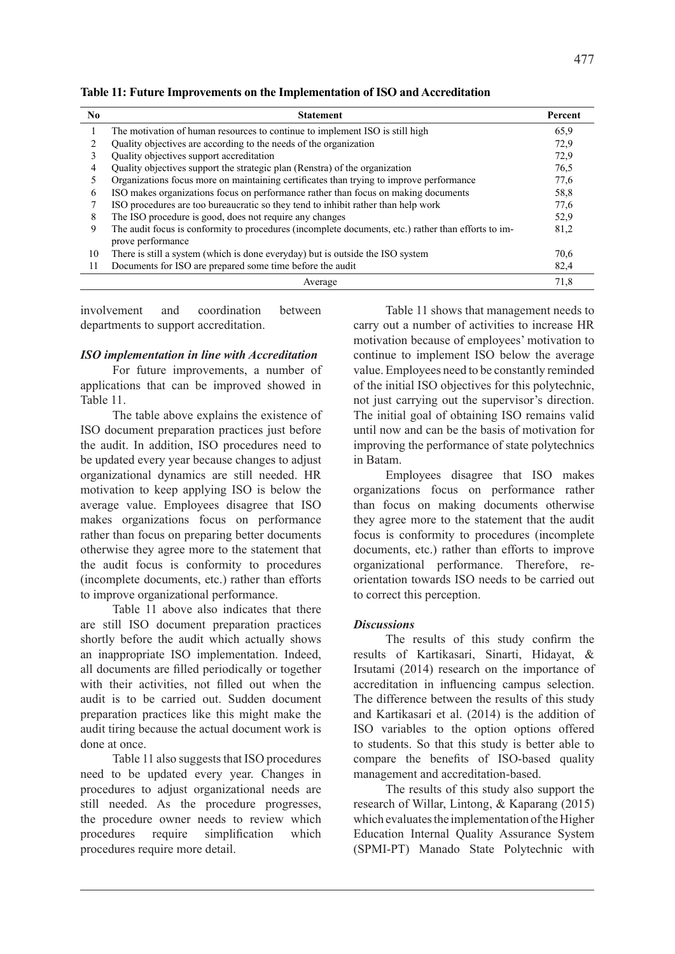**Table 11: Future Improvements on the Implementation of ISO and Accreditation**

| No. | <b>Statement</b>                                                                                                         | Percent |
|-----|--------------------------------------------------------------------------------------------------------------------------|---------|
|     | The motivation of human resources to continue to implement ISO is still high                                             | 65,9    |
|     | Quality objectives are according to the needs of the organization                                                        | 72.9    |
|     | Quality objectives support accreditation                                                                                 | 72,9    |
| 4   | Quality objectives support the strategic plan (Renstra) of the organization                                              | 76.5    |
|     | Organizations focus more on maintaining certificates than trying to improve performance                                  | 77,6    |
| 6   | ISO makes organizations focus on performance rather than focus on making documents                                       | 58,8    |
| 7   | ISO procedures are too bureaucratic so they tend to inhibit rather than help work                                        | 77,6    |
| 8   | The ISO procedure is good, does not require any changes                                                                  | 52,9    |
| 9   | The audit focus is conformity to procedures (incomplete documents, etc.) rather than efforts to im-<br>prove performance | 81,2    |
| 10  | There is still a system (which is done everyday) but is outside the ISO system                                           | 70.6    |
| 11  | Documents for ISO are prepared some time before the audit                                                                | 82,4    |
|     | Average                                                                                                                  | 71,8    |

involvement and coordination between departments to support accreditation.

## *ISO implementation in line with Accreditation*

For future improvements, a number of applications that can be improved showed in Table 11.

The table above explains the existence of ISO document preparation practices just before the audit. In addition, ISO procedures need to be updated every year because changes to adjust organizational dynamics are still needed. HR motivation to keep applying ISO is below the average value. Employees disagree that ISO makes organizations focus on performance rather than focus on preparing better documents otherwise they agree more to the statement that the audit focus is conformity to procedures (incomplete documents, etc.) rather than efforts to improve organizational performance.

Table 11 above also indicates that there are still ISO document preparation practices shortly before the audit which actually shows an inappropriate ISO implementation. Indeed, all documents are filled periodically or together with their activities, not filled out when the audit is to be carried out. Sudden document preparation practices like this might make the audit tiring because the actual document work is done at once.

Table 11 also suggests that ISO procedures need to be updated every year. Changes in procedures to adjust organizational needs are still needed. As the procedure progresses, the procedure owner needs to review which procedures require simplification which procedures require more detail.

Table 11 shows that management needs to carry out a number of activities to increase HR motivation because of employees' motivation to continue to implement ISO below the average value. Employees need to be constantly reminded of the initial ISO objectives for this polytechnic, not just carrying out the supervisor's direction. The initial goal of obtaining ISO remains valid until now and can be the basis of motivation for improving the performance of state polytechnics in Batam.

Employees disagree that ISO makes organizations focus on performance rather than focus on making documents otherwise they agree more to the statement that the audit focus is conformity to procedures (incomplete documents, etc.) rather than efforts to improve organizational performance. Therefore, reorientation towards ISO needs to be carried out to correct this perception.

## *Discussions*

The results of this study confirm the results of Kartikasari, Sinarti, Hidayat, & Irsutami (2014) research on the importance of accreditation in influencing campus selection. The difference between the results of this study and Kartikasari et al. (2014) is the addition of ISO variables to the option options offered to students. So that this study is better able to compare the benefits of ISO-based quality management and accreditation-based.

The results of this study also support the research of Willar, Lintong, & Kaparang (2015) which evaluates the implementation of the Higher Education Internal Quality Assurance System (SPMI-PT) Manado State Polytechnic with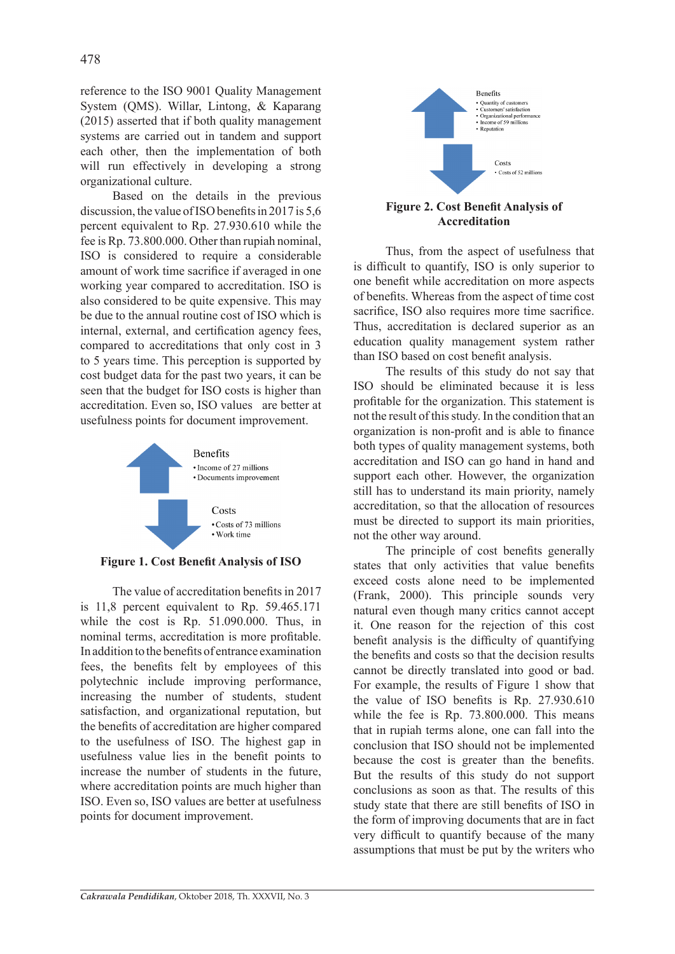reference to the ISO 9001 Quality Management System (QMS). Willar, Lintong, & Kaparang (2015) asserted that if both quality management systems are carried out in tandem and support each other, then the implementation of both will run effectively in developing a strong organizational culture.

Based on the details in the previous discussion, the value of ISO benefits in 2017 is 5,6 percent equivalent to Rp. 27.930.610 while the fee is Rp. 73.800.000. Other than rupiah nominal, ISO is considered to require a considerable amount of work time sacrifice if averaged in one working year compared to accreditation. ISO is also considered to be quite expensive. This may be due to the annual routine cost of ISO which is internal, external, and certification agency fees, compared to accreditations that only cost in 3 to 5 years time. This perception is supported by cost budget data for the past two years, it can be seen that the budget for ISO costs is higher than accreditation. Even so, ISO values are better at usefulness points for document improvement.



**Figure 1. Cost Benefit Analysis of ISO**

The value of accreditation benefits in 2017 is 11,8 percent equivalent to Rp. 59.465.171 while the cost is Rp. 51.090.000. Thus, in nominal terms, accreditation is more profitable. In addition to the benefits of entrance examination fees, the benefits felt by employees of this polytechnic include improving performance, increasing the number of students, student satisfaction, and organizational reputation, but the benefits of accreditation are higher compared to the usefulness of ISO. The highest gap in usefulness value lies in the benefit points to increase the number of students in the future, where accreditation points are much higher than ISO. Even so, ISO values are better at usefulness points for document improvement.



# **Accreditation**

Thus, from the aspect of usefulness that is difficult to quantify, ISO is only superior to one benefit while accreditation on more aspects of benefits. Whereas from the aspect of time cost sacrifice, ISO also requires more time sacrifice. Thus, accreditation is declared superior as an education quality management system rather than ISO based on cost benefit analysis.

The results of this study do not say that ISO should be eliminated because it is less profitable for the organization. This statement is not the result of this study. In the condition that an organization is non-profit and is able to finance both types of quality management systems, both accreditation and ISO can go hand in hand and support each other. However, the organization still has to understand its main priority, namely accreditation, so that the allocation of resources must be directed to support its main priorities, not the other way around.

The principle of cost benefits generally states that only activities that value benefits exceed costs alone need to be implemented (Frank, 2000). This principle sounds very natural even though many critics cannot accept it. One reason for the rejection of this cost benefit analysis is the difficulty of quantifying the benefits and costs so that the decision results cannot be directly translated into good or bad. For example, the results of Figure 1 show that the value of ISO benefits is Rp. 27.930.610 while the fee is Rp. 73.800.000. This means that in rupiah terms alone, one can fall into the conclusion that ISO should not be implemented because the cost is greater than the benefits. But the results of this study do not support conclusions as soon as that. The results of this study state that there are still benefits of ISO in the form of improving documents that are in fact very difficult to quantify because of the many assumptions that must be put by the writers who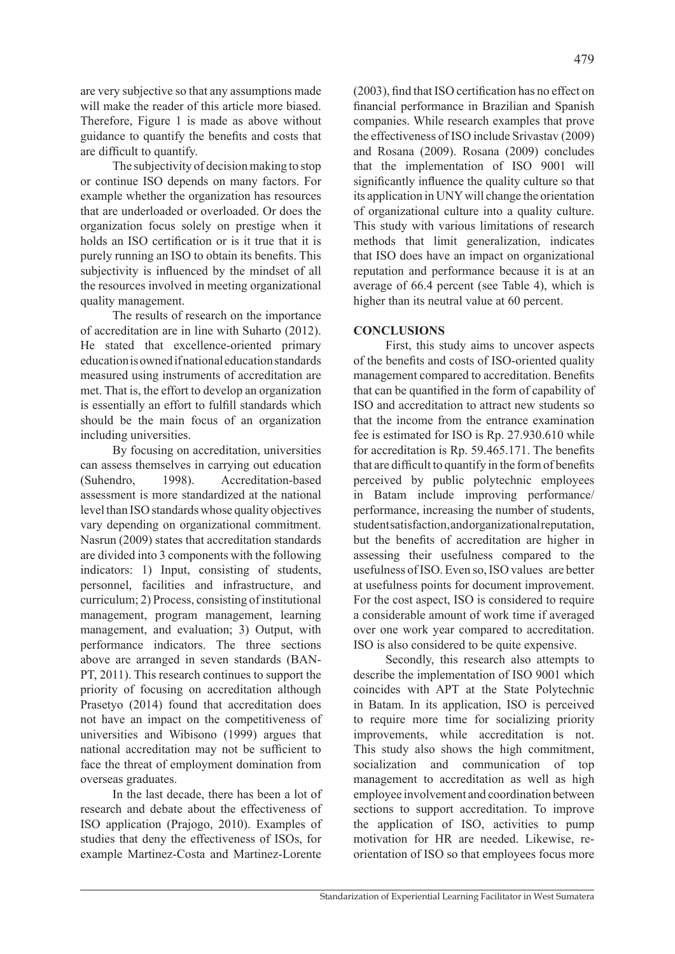are very subjective so that any assumptions made will make the reader of this article more biased. Therefore, Figure 1 is made as above without guidance to quantify the benefits and costs that are difficult to quantify.

The subjectivity of decision making to stop or continue ISO depends on many factors. For example whether the organization has resources that are underloaded or overloaded. Or does the organization focus solely on prestige when it holds an ISO certification or is it true that it is purely running an ISO to obtain its benefits. This subjectivity is influenced by the mindset of all the resources involved in meeting organizational quality management.

The results of research on the importance of accreditation are in line with Suharto (2012). He stated that excellence-oriented primary education is owned if national education standards measured using instruments of accreditation are met. That is, the effort to develop an organization is essentially an effort to fulfill standards which should be the main focus of an organization including universities.

By focusing on accreditation, universities can assess themselves in carrying out education (Suhendro, 1998). Accreditation-based assessment is more standardized at the national level than ISO standards whose quality objectives vary depending on organizational commitment. Nasrun (2009) states that accreditation standards are divided into 3 components with the following indicators: 1) Input, consisting of students, personnel, facilities and infrastructure, and curriculum; 2) Process, consisting of institutional management, program management, learning management, and evaluation; 3) Output, with performance indicators. The three sections above are arranged in seven standards (BAN-PT, 2011). This research continues to support the priority of focusing on accreditation although Prasetyo (2014) found that accreditation does not have an impact on the competitiveness of universities and Wibisono (1999) argues that national accreditation may not be sufficient to face the threat of employment domination from overseas graduates.

In the last decade, there has been a lot of research and debate about the effectiveness of ISO application (Prajogo, 2010). Examples of studies that deny the effectiveness of ISOs, for example Martinez-Costa and Martinez-Lorente (2003), find that ISO certification has no effect on financial performance in Brazilian and Spanish companies. While research examples that prove the effectiveness of ISO include Srivastav (2009) and Rosana (2009). Rosana (2009) concludes that the implementation of ISO 9001 will significantly influence the quality culture so that its application in UNY will change the orientation of organizational culture into a quality culture. This study with various limitations of research methods that limit generalization, indicates that ISO does have an impact on organizational reputation and performance because it is at an average of 66.4 percent (see Table 4), which is higher than its neutral value at 60 percent.

## **CONCLUSIONS**

First, this study aims to uncover aspects of the benefits and costs of ISO-oriented quality management compared to accreditation. Benefits that can be quantified in the form of capability of ISO and accreditation to attract new students so that the income from the entrance examination fee is estimated for ISO is Rp. 27.930.610 while for accreditation is Rp. 59.465.171. The benefits that are difficult to quantify in the form of benefits perceived by public polytechnic employees in Batam include improving performance/ performance, increasing the number of students, student satisfaction, and organizational reputation, but the benefits of accreditation are higher in assessing their usefulness compared to the usefulness of ISO. Even so, ISO values are better at usefulness points for document improvement. For the cost aspect, ISO is considered to require a considerable amount of work time if averaged over one work year compared to accreditation. ISO is also considered to be quite expensive.

Secondly, this research also attempts to describe the implementation of ISO 9001 which coincides with APT at the State Polytechnic in Batam. In its application, ISO is perceived to require more time for socializing priority improvements, while accreditation is not. This study also shows the high commitment, socialization and communication of top management to accreditation as well as high employee involvement and coordination between sections to support accreditation. To improve the application of ISO, activities to pump motivation for HR are needed. Likewise, reorientation of ISO so that employees focus more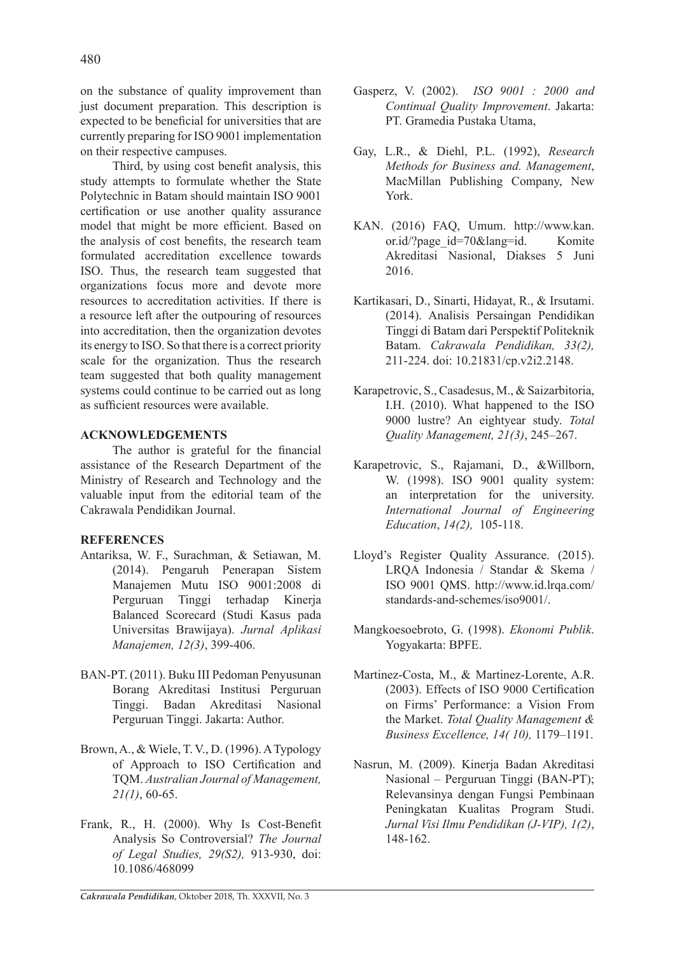on the substance of quality improvement than just document preparation. This description is expected to be beneficial for universities that are currently preparing for ISO 9001 implementation on their respective campuses.

Third, by using cost benefit analysis, this study attempts to formulate whether the State Polytechnic in Batam should maintain ISO 9001 certification or use another quality assurance model that might be more efficient. Based on the analysis of cost benefits, the research team formulated accreditation excellence towards ISO. Thus, the research team suggested that organizations focus more and devote more resources to accreditation activities. If there is a resource left after the outpouring of resources into accreditation, then the organization devotes its energy to ISO. So that there is a correct priority scale for the organization. Thus the research team suggested that both quality management systems could continue to be carried out as long as sufficient resources were available.

## **ACKNOWLEDGEMENTS**

The author is grateful for the financial assistance of the Research Department of the Ministry of Research and Technology and the valuable input from the editorial team of the Cakrawala Pendidikan Journal.

## **REFERENCES**

- Antariksa, W. F., Surachman, & Setiawan, M. (2014). Pengaruh Penerapan Sistem Manajemen Mutu ISO 9001:2008 di Perguruan Tinggi terhadap Kinerja Balanced Scorecard (Studi Kasus pada Universitas Brawijaya). *Jurnal Aplikasi Manajemen, 12(3)*, 399-406.
- BAN-PT. (2011). Buku III Pedoman Penyusunan Borang Akreditasi Institusi Perguruan Tinggi. Badan Akreditasi Nasional Perguruan Tinggi. Jakarta: Author.
- Brown, A., & Wiele, T. V., D. (1996). A Typology of Approach to ISO Certification and TQM. *Australian Journal of Management, 21(1)*, 60-65.
- Frank, R., H. (2000). Why Is Cost-Benefit Analysis So Controversial? *The Journal of Legal Studies, 29(S2),* 913-930, doi: 10.1086/468099
- Gasperz, V. (2002). *ISO 9001 : 2000 and Continual Quality Improvement*. Jakarta: PT. Gramedia Pustaka Utama,
- Gay, L.R., & Diehl, P.L. (1992), *Research Methods for Business and. Management*, MacMillan Publishing Company, New York.
- KAN. (2016) FAQ, Umum. http://www.kan. or.id/?page\_id=70&lang=id. Komite Akreditasi Nasional, Diakses 5 Juni 2016.
- Kartikasari, D., Sinarti, Hidayat, R., & Irsutami. (2014). Analisis Persaingan Pendidikan Tinggi di Batam dari Perspektif Politeknik Batam. *Cakrawala Pendidikan, 33(2),*  211-224. doi: 10.21831/cp.v2i2.2148.
- Karapetrovic, S., Casadesus, M., & Saizarbitoria, I.H. (2010). What happened to the ISO 9000 lustre? An eightyear study. *Total Quality Management, 21(3)*, 245–267.
- Karapetrovic, S., Rajamani, D., &Willborn, W. (1998). ISO 9001 quality system: an interpretation for the university. *International Journal of Engineering Education*, *14(2),* 105-118.
- Lloyd's Register Quality Assurance. (2015). LRQA Indonesia / Standar & Skema / ISO 9001 QMS. http://www.id.lrqa.com/ standards-and-schemes/iso9001/.
- Mangkoesoebroto, G. (1998). *Ekonomi Publik*. Yogyakarta: BPFE.
- Martinez-Costa, M., & Martinez-Lorente, A.R. (2003). Effects of ISO 9000 Certification on Firms' Performance: a Vision From the Market. *Total Quality Management & Business Excellence, 14( 10),* 1179–1191.
- Nasrun, M. (2009). Kinerja Badan Akreditasi Nasional – Perguruan Tinggi (BAN-PT); Relevansinya dengan Fungsi Pembinaan Peningkatan Kualitas Program Studi. *Jurnal Visi Ilmu Pendidikan (J-VIP), 1(2)*, 148-162.